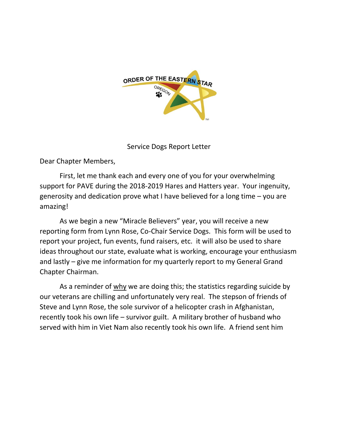

## Service Dogs Report Letter

Dear Chapter Members,

First, let me thank each and every one of you for your overwhelming support for PAVE during the 2018-2019 Hares and Hatters year. Your ingenuity, generosity and dedication prove what I have believed for a long time – you are amazing!

As we begin a new "Miracle Believers" year, you will receive a new reporting form from Lynn Rose, Co-Chair Service Dogs. This form will be used to report your project, fun events, fund raisers, etc. it will also be used to share ideas throughout our state, evaluate what is working, encourage your enthusiasm and lastly – give me information for my quarterly report to my General Grand Chapter Chairman.

As a reminder of why we are doing this; the statistics regarding suicide by our veterans are chilling and unfortunately very real. The stepson of friends of Steve and Lynn Rose, the sole survivor of a helicopter crash in Afghanistan, recently took his own life – survivor guilt. A military brother of husband who served with him in Viet Nam also recently took his own life. A friend sent him